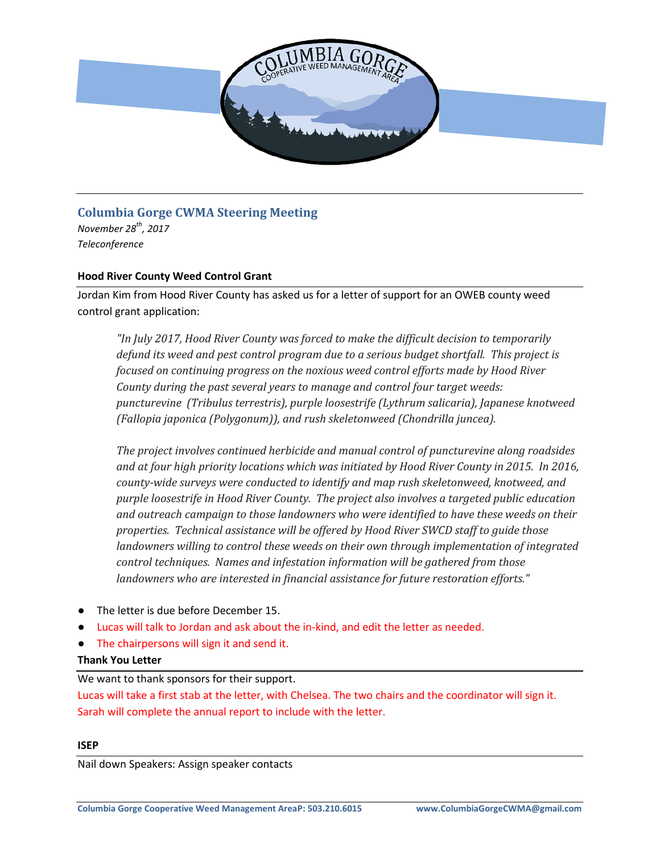

## **Columbia Gorge CWMA Steering Meeting**

*November 28th, 2017 Teleconference*

## **Hood River County Weed Control Grant**

Jordan Kim from Hood River County has asked us for a letter of support for an OWEB county weed control grant application:

*"In July 2017, Hood River County was forced to make the difficult decision to temporarily defund its weed and pest control program due to a serious budget shortfall. This project is focused on continuing progress on the noxious weed control efforts made by Hood River County during the past several years to manage and control four target weeds: puncturevine (Tribulus terrestris), purple loosestrife (Lythrum salicaria), Japanese knotweed (Fallopia japonica (Polygonum)), and rush skeletonweed (Chondrilla juncea).* 

*The project involves continued herbicide and manual control of puncturevine along roadsides and at four high priority locations which was initiated by Hood River County in 2015. In 2016, county-wide surveys were conducted to identify and map rush skeletonweed, knotweed, and purple loosestrife in Hood River County. The project also involves a targeted public education and outreach campaign to those landowners who were identified to have these weeds on their properties. Technical assistance will be offered by Hood River SWCD staff to guide those landowners willing to control these weeds on their own through implementation of integrated control techniques. Names and infestation information will be gathered from those landowners who are interested in financial assistance for future restoration efforts."*

- The letter is due before December 15.
- Lucas will talk to Jordan and ask about the in-kind, and edit the letter as needed.
- The chairpersons will sign it and send it.

### **Thank You Letter**

We want to thank sponsors for their support.

Lucas will take a first stab at the letter, with Chelsea. The two chairs and the coordinator will sign it. Sarah will complete the annual report to include with the letter.

#### **ISEP**

Nail down Speakers: Assign speaker contacts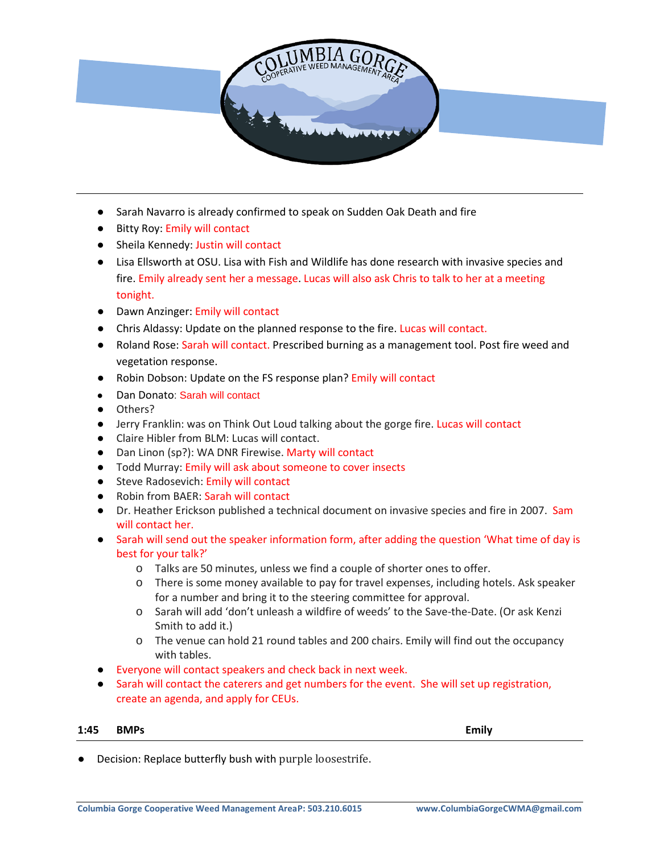

- Sarah Navarro is already confirmed to speak on Sudden Oak Death and fire
- Bitty Roy: Emily will contact
- Sheila Kennedy: Justin will contact
- Lisa Ellsworth at OSU. Lisa with Fish and Wildlife has done research with invasive species and fire. Emily already sent her a message. Lucas will also ask Chris to talk to her at a meeting tonight.
- Dawn Anzinger: Emily will contact
- Chris Aldassy: Update on the planned response to the fire. Lucas will contact.
- Roland Rose: Sarah will contact. Prescribed burning as a management tool. Post fire weed and vegetation response.
- Robin Dobson: Update on the FS response plan? Emily will contact
- Dan Donato: Sarah will contact
- Others?
- Jerry Franklin: was on Think Out Loud talking about the gorge fire. Lucas will contact
- Claire Hibler from BLM: Lucas will contact.
- Dan Linon (sp?): WA DNR Firewise. Marty will contact
- Todd Murray: Emily will ask about someone to cover insects
- Steve Radosevich: Emily will contact
- Robin from BAER: Sarah will contact
- Dr. Heather Erickson published a technical document on invasive species and fire in 2007. Sam will contact her.
- Sarah will send out the speaker information form, after adding the question 'What time of day is best for your talk?'
	- o Talks are 50 minutes, unless we find a couple of shorter ones to offer.
	- o There is some money available to pay for travel expenses, including hotels. Ask speaker for a number and bring it to the steering committee for approval.
	- o Sarah will add 'don't unleash a wildfire of weeds' to the Save-the-Date. (Or ask Kenzi Smith to add it.)
	- o The venue can hold 21 round tables and 200 chairs. Emily will find out the occupancy with tables.
- Everyone will contact speakers and check back in next week.
- Sarah will contact the caterers and get numbers for the event. She will set up registration, create an agenda, and apply for CEUs.

#### **1:45 BMPs Emily**

Decision: Replace butterfly bush with purple loosestrife.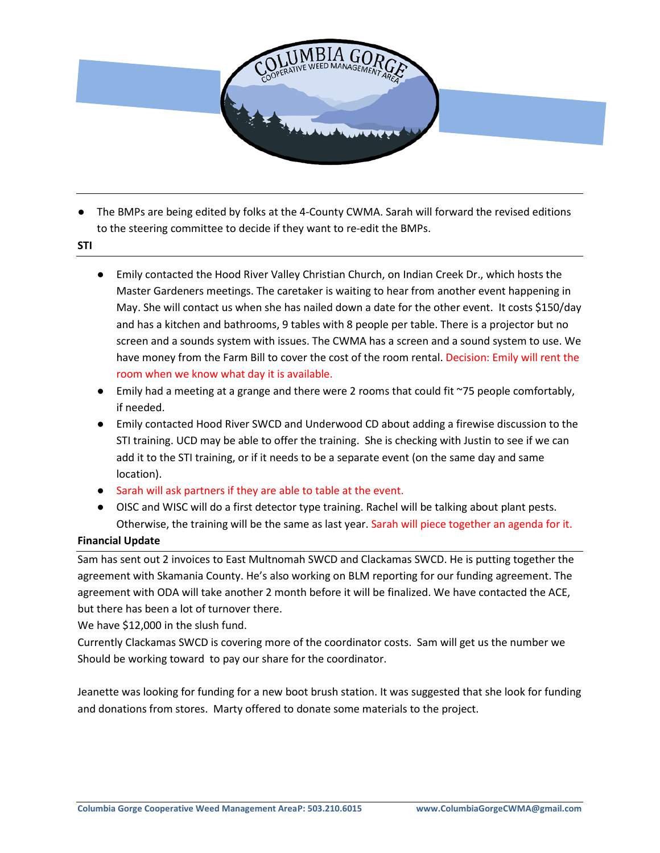

- The BMPs are being edited by folks at the 4-County CWMA. Sarah will forward the revised editions to the steering committee to decide if they want to re-edit the BMPs.
- **STI**
- Emily contacted the Hood River Valley Christian Church, on Indian Creek Dr., which hosts the Master Gardeners meetings. The caretaker is waiting to hear from another event happening in May. She will contact us when she has nailed down a date for the other event. It costs \$150/day and has a kitchen and bathrooms, 9 tables with 8 people per table. There is a projector but no screen and a sounds system with issues. The CWMA has a screen and a sound system to use. We have money from the Farm Bill to cover the cost of the room rental. Decision: Emily will rent the room when we know what day it is available.
- Emily had a meeting at a grange and there were 2 rooms that could fit ~75 people comfortably, if needed.
- Emily contacted Hood River SWCD and Underwood CD about adding a firewise discussion to the STI training. UCD may be able to offer the training. She is checking with Justin to see if we can add it to the STI training, or if it needs to be a separate event (on the same day and same location).
- Sarah will ask partners if they are able to table at the event.
- OISC and WISC will do a first detector type training. Rachel will be talking about plant pests. Otherwise, the training will be the same as last year. Sarah will piece together an agenda for it.

## **Financial Update**

Sam has sent out 2 invoices to East Multnomah SWCD and Clackamas SWCD. He is putting together the agreement with Skamania County. He's also working on BLM reporting for our funding agreement. The agreement with ODA will take another 2 month before it will be finalized. We have contacted the ACE, but there has been a lot of turnover there.

We have \$12,000 in the slush fund.

Currently Clackamas SWCD is covering more of the coordinator costs. Sam will get us the number we Should be working toward to pay our share for the coordinator.

Jeanette was looking for funding for a new boot brush station. It was suggested that she look for funding and donations from stores. Marty offered to donate some materials to the project.